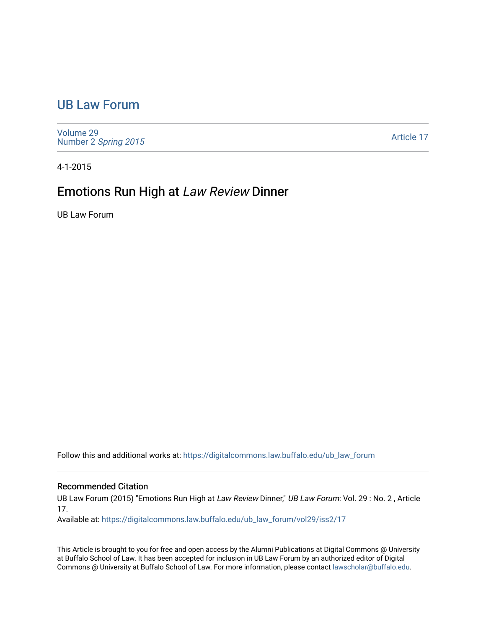## [UB Law Forum](https://digitalcommons.law.buffalo.edu/ub_law_forum)

[Volume 29](https://digitalcommons.law.buffalo.edu/ub_law_forum/vol29) Number 2 [Spring 2015](https://digitalcommons.law.buffalo.edu/ub_law_forum/vol29/iss2) 

[Article 17](https://digitalcommons.law.buffalo.edu/ub_law_forum/vol29/iss2/17) 

4-1-2015

## Emotions Run High at Law Review Dinner

UB Law Forum

Follow this and additional works at: [https://digitalcommons.law.buffalo.edu/ub\\_law\\_forum](https://digitalcommons.law.buffalo.edu/ub_law_forum?utm_source=digitalcommons.law.buffalo.edu%2Fub_law_forum%2Fvol29%2Fiss2%2F17&utm_medium=PDF&utm_campaign=PDFCoverPages) 

## Recommended Citation

UB Law Forum (2015) "Emotions Run High at Law Review Dinner," UB Law Forum: Vol. 29 : No. 2, Article 17.

Available at: [https://digitalcommons.law.buffalo.edu/ub\\_law\\_forum/vol29/iss2/17](https://digitalcommons.law.buffalo.edu/ub_law_forum/vol29/iss2/17?utm_source=digitalcommons.law.buffalo.edu%2Fub_law_forum%2Fvol29%2Fiss2%2F17&utm_medium=PDF&utm_campaign=PDFCoverPages) 

This Article is brought to you for free and open access by the Alumni Publications at Digital Commons @ University at Buffalo School of Law. It has been accepted for inclusion in UB Law Forum by an authorized editor of Digital Commons @ University at Buffalo School of Law. For more information, please contact [lawscholar@buffalo.edu](mailto:lawscholar@buffalo.edu).